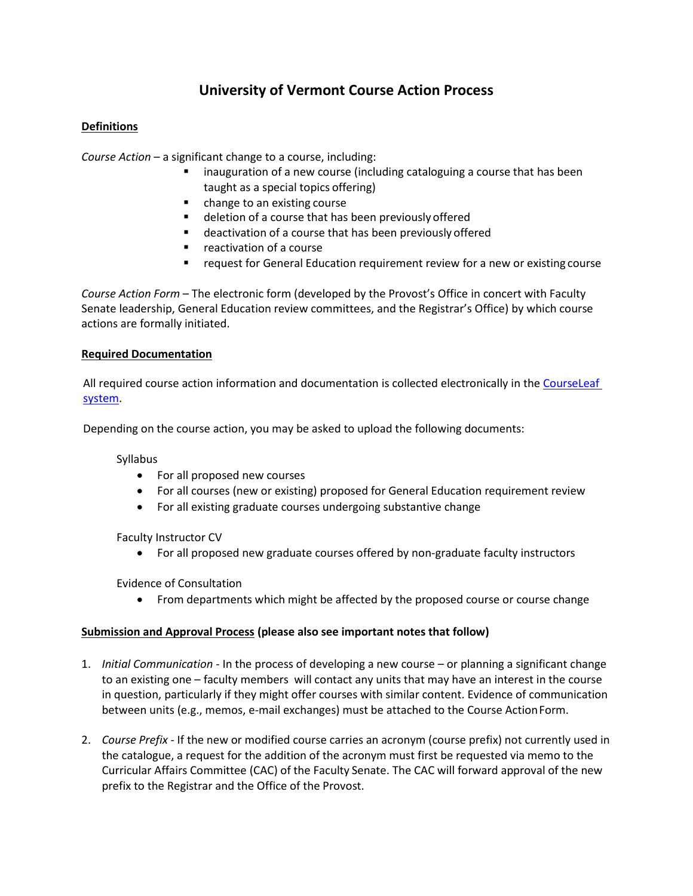# **University of Vermont Course Action Process**

## **Definitions**

*Course Action* – a significant change to a course, including:

- inauguration of a new course (including cataloguing a course that has been taught as a special topics offering)
- change to an existing course
- deletion of a course that has been previously offered
- deactivation of a course that has been previously offered
- **F** reactivation of a course
- request for General Education requirement review for a new or existing course

*Course Action Form* – The electronic form (developed by the Provost's Office in concert with Faculty Senate leadership, General Education review committees, and the Registrar's Office) by which course actions are formally initiated.

## **Required Documentation**

All required course action information and documentation is collected electronically in the CourseLeaf [system.](https://www.uvm.edu/~facrsrcs/?Page=coursechangeform.html)

Depending on the course action, you may be asked to upload the following documents:

Syllabus

- For all proposed new courses
- For all courses (new or existing) proposed for General Education requirement review
- For all existing graduate courses undergoing substantive change

Faculty Instructor CV

For all proposed new graduate courses offered by non-graduate faculty instructors

Evidence of Consultation

• From departments which might be affected by the proposed course or course change

## **Submission and Approval Process (please also see important notes that follow)**

- 1. *Initial Communication*  In the process of developing a new course or planning a significant change to an existing one – faculty members will contact any units that may have an interest in the course in question, particularly if they might offer courses with similar content. Evidence of communication between units (e.g., memos, e-mail exchanges) must be attached to the Course Action Form.
- 2. *Course Prefix*  If the new or modified course carries an acronym (course prefix) not currently used in the catalogue, a request for the addition of the acronym must first be requested via memo to the Curricular Affairs Committee (CAC) of the Faculty Senate. The CAC will forward approval of the new prefix to the Registrar and the Office of the Provost.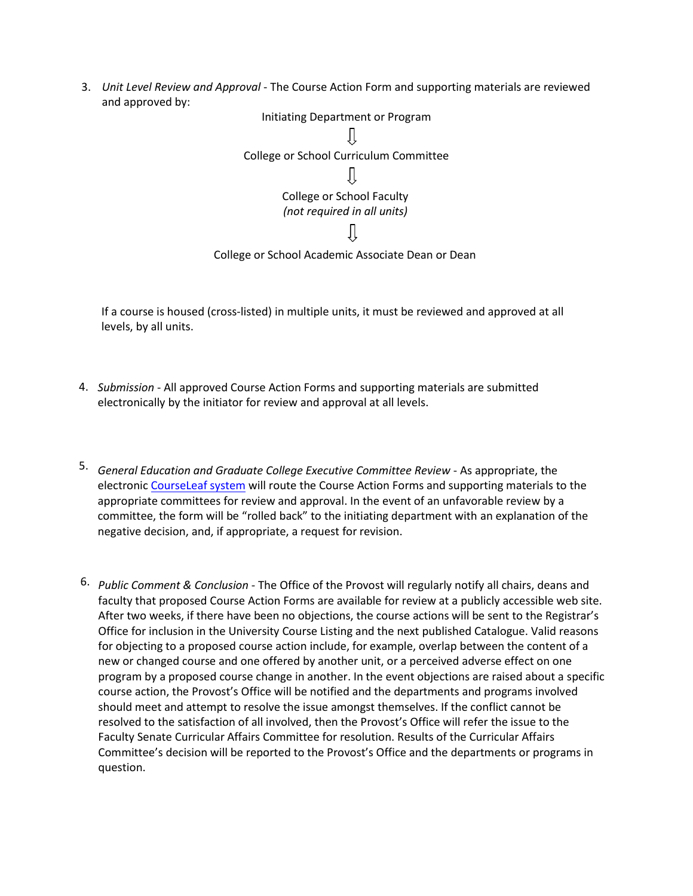3. *Unit Level Review and Approval* - The Course Action Form and supporting materials are reviewed and approved by:



If a course is housed (cross-listed) in multiple units, it must be reviewed and approved at all levels, by all units.

- 4. *Submission*  All approved Course Action Forms and supporting materials are submitted electronically by the initiator for review and approval at all levels.
- 5. *General Education and Graduate College Executive Committee Review As appropriate, the* electronic CourseLeaf system will route the Course Action Forms and supporting materials to the appropriate committees for review and approval. In the event of an unfavorable review by a committee, the form will be "rolled back" to the initiating department with an explanation of the negative decision, and, if appropriate, a request for revision.
- 6. *Public Comment & Conclusion*  The Office of the Provost will regularly notify all chairs, deans and faculty that proposed Course Action Forms are available for review at a publicly accessible web site. After two weeks, if there have been no objections, the course actions will be sent to the Registrar's Office for inclusion in the University Course Listing and the next published Catalogue. Valid reasons for objecting to a proposed course action include, for example, overlap between the content of a new or changed course and one offered by another unit, or a perceived adverse effect on one program by a proposed course change in another. In the event objections are raised about a specific course action, the Provost's Office will be notified and the departments and programs involved should meet and attempt to resolve the issue amongst themselves. If the conflict cannot be resolved to the satisfaction of all involved, then the Provost's Office will refer the issue to the Faculty Senate Curricular Affairs Committee for resolution. Results of the Curricular Affairs Committee's decision will be reported to the Provost's Office and the departments or programs in question.